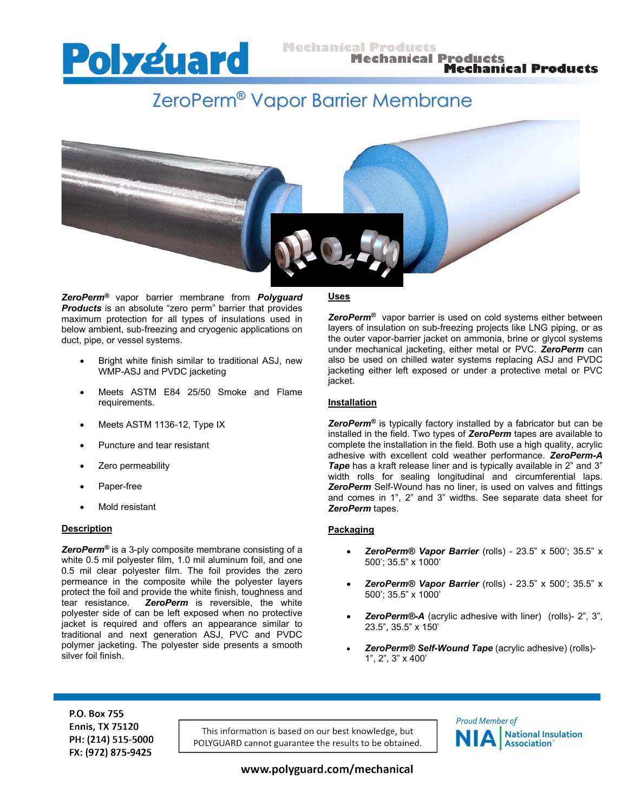

# ZeroPerm® Vapor Barrier Membrane



*ZeroPerm®* vapor barrier membrane from *Polyguard Products* is an absolute "zero perm" barrier that provides maximum protection for all types of insulations used in below ambient, sub-freezing and cryogenic applications on duct, pipe, or vessel systems.

- Bright white finish similar to traditional ASJ, new WMP-ASJ and PVDC jacketing
- Meets ASTM E84 25/50 Smoke and Flame requirements.
- Meets ASTM 1136-12, Type IX
- Puncture and tear resistant
- Zero permeability
- Paper-free
- Mold resistant

#### **Description**

*ZeroPerm®* is a 3-ply composite membrane consisting of a white 0.5 mil polyester film, 1.0 mil aluminum foil, and one 0.5 mil clear polyester film. The foil provides the zero permeance in the composite while the polyester layers protect the foil and provide the white finish, toughness and tear resistance. *ZeroPerm* is reversible, the white polyester side of can be left exposed when no protective jacket is required and offers an appearance similar to traditional and next generation ASJ, PVC and PVDC polymer jacketing. The polyester side presents a smooth silver foil finish.

#### **Uses**

*ZeroPerm®* vapor barrier is used on cold systems either between layers of insulation on sub-freezing projects like LNG piping, or as the outer vapor-barrier jacket on ammonia, brine or glycol systems under mechanical jacketing, either metal or PVC. *ZeroPerm* can also be used on chilled water systems replacing ASJ and PVDC jacketing either left exposed or under a protective metal or PVC jacket.

#### **Installation**

*ZeroPerm®* is typically factory installed by a fabricator but can be installed in the field. Two types of *ZeroPerm* tapes are available to complete the installation in the field. Both use a high quality, acrylic adhesive with excellent cold weather performance. *ZeroPerm-A Tape* has a kraft release liner and is typically available in 2" and 3" width rolls for sealing longitudinal and circumferential laps. *ZeroPerm* Self-Wound has no liner, is used on valves and fittings and comes in 1", 2" and 3" widths. See separate data sheet for *ZeroPerm* tapes.

### **Packaging**

- *ZeroPerm® Vapor Barrier* (rolls) 23.5" x 500'; 35.5" x 500'; 35.5" x 1000'
- *ZeroPerm® Vapor Barrier* (rolls) 23.5" x 500'; 35.5" x 500'; 35.5" x 1000'
- *ZeroPerm®-A* (acrylic adhesive with liner) (rolls)- 2", 3", 23.5", 35.5" x 150'
- *ZeroPerm® Self-Wound Tape* (acrylic adhesive) (rolls)- 1", 2", 3" x 400'

P.O. Box 755 **Ennis, TX 75120** PH: (214) 515-5000 FX: (972) 875-9425

This information is based on our best knowledge, but POLYGUARD cannot guarantee the results to be obtained.



www.polyguard.com/mechanical